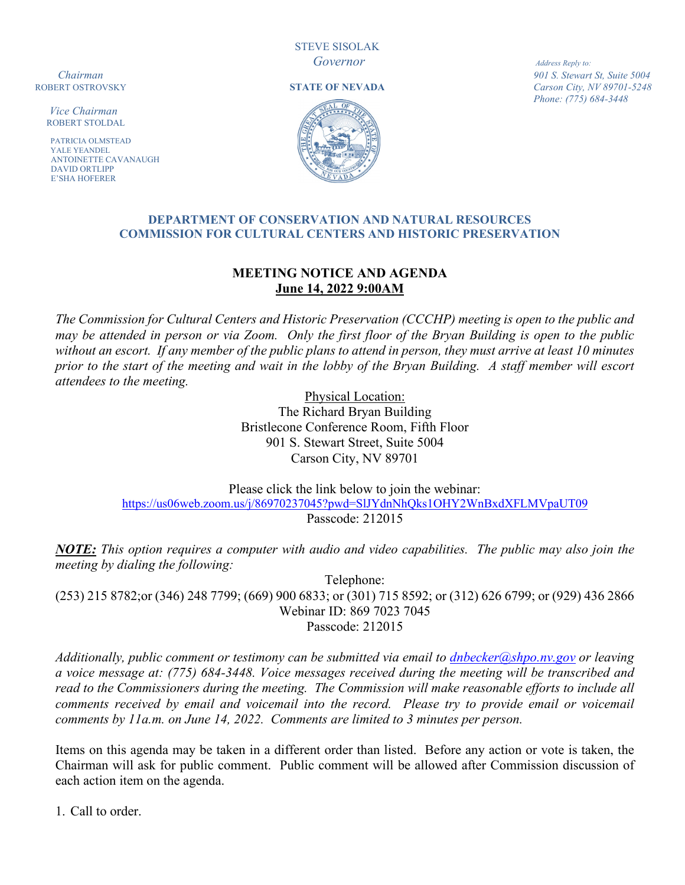STEVE SISOLAK *Governor Address Reply to:*

 *Vice Chairman*ROBERT STOLDAL

**PATRICIA OLMSTEAD**  YALE YEANDEL ANTOINETTE CAVANAUGH DAVID ORTLIPP E'SHA HOFERER





**Chairman 901 S. Stewart St, Suite 5004**<br>**STATE OF NEVADA** *Carson City, NV 89701-5248* Carson City, NV 89701-5248 *Phone: (775) 684-3448*

#### **DEPARTMENT OF CONSERVATION AND NATURAL RESOURCES COMMISSION FOR CULTURAL CENTERS AND HISTORIC PRESERVATION**

# **MEETING NOTICE AND AGENDA June 14, 2022 9:00AM**

*The Commission for Cultural Centers and Historic Preservation (CCCHP) meeting is open to the public and may be attended in person or via Zoom. Only the first floor of the Bryan Building is open to the public without an escort. If any member of the public plans to attend in person, they must arrive at least 10 minutes prior to the start of the meeting and wait in the lobby of the Bryan Building. A staff member will escort attendees to the meeting.* 

> Physical Location: The Richard Bryan Building Bristlecone Conference Room, Fifth Floor 901 S. Stewart Street, Suite 5004 Carson City, NV 89701

Please click the link below to join the webinar: <https://us06web.zoom.us/j/86970237045?pwd=SlJYdnNhQks1OHY2WnBxdXFLMVpaUT09> Passcode: 212015

*NOTE: This option requires a computer with audio and video capabilities. The public may also join the meeting by dialing the following:*

Telephone: (253) 215 8782;or (346) 248 7799; (669) 900 6833; or (301) 715 8592; or (312) 626 6799; or (929) 436 2866 Webinar ID: 869 7023 7045 Passcode: 212015

*Additionally, public comment or testimony can be submitted via email to [dnbecker@shpo.nv.gov](mailto:dnbecker@shpo.nv.gov) or leaving a voice message at: (775) 684-3448. Voice messages received during the meeting will be transcribed and read to the Commissioners during the meeting. The Commission will make reasonable efforts to include all comments received by email and voicemail into the record. Please try to provide email or voicemail comments by 11a.m. on June 14, 2022. Comments are limited to 3 minutes per person.*

Items on this agenda may be taken in a different order than listed. Before any action or vote is taken, the Chairman will ask for public comment. Public comment will be allowed after Commission discussion of each action item on the agenda.

1. Call to order.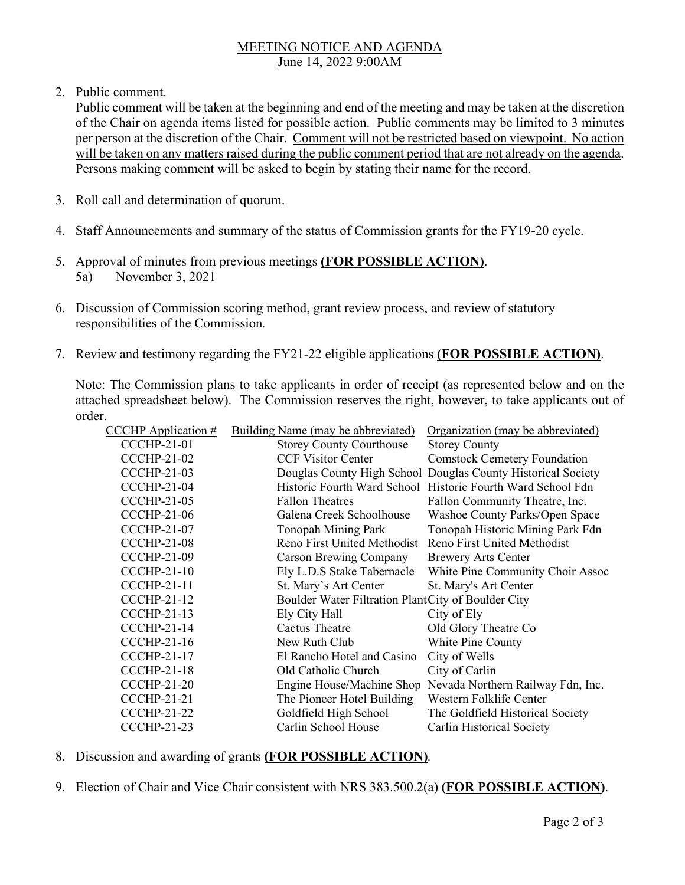### MEETING NOTICE AND AGENDA June 14, 2022 9:00AM

2. Public comment.

Public comment will be taken at the beginning and end of the meeting and may be taken at the discretion of the Chair on agenda items listed for possible action. Public comments may be limited to 3 minutes per person at the discretion of the Chair. Comment will not be restricted based on viewpoint. No action will be taken on any matters raised during the public comment period that are not already on the agenda. Persons making comment will be asked to begin by stating their name for the record.

- 3. Roll call and determination of quorum.
- 4. Staff Announcements and summary of the status of Commission grants for the FY19-20 cycle.
- 5. Approval of minutes from previous meetings **(FOR POSSIBLE ACTION)**. 5a) November 3, 2021
- 6. Discussion of Commission scoring method, grant review process, and review of statutory responsibilities of the Commission*.*
- 7. Review and testimony regarding the FY21-22 eligible applications **(FOR POSSIBLE ACTION)**.

Note: The Commission plans to take applicants in order of receipt (as represented below and on the attached spreadsheet below). The Commission reserves the right, however, to take applicants out of order.

| <b>CCCHP</b> Application # | Building Name (may be abbreviated)                      | Organization (may be abbreviated)                            |
|----------------------------|---------------------------------------------------------|--------------------------------------------------------------|
| <b>CCCHP-21-01</b>         | <b>Storey County Courthouse</b>                         | <b>Storey County</b>                                         |
| <b>CCCHP-21-02</b>         | <b>CCF Visitor Center</b>                               | <b>Comstock Cemetery Foundation</b>                          |
| <b>CCCHP-21-03</b>         |                                                         | Douglas County High School Douglas County Historical Society |
| <b>CCCHP-21-04</b>         |                                                         | Historic Fourth Ward School Historic Fourth Ward School Fdn  |
| <b>CCCHP-21-05</b>         | <b>Fallon Theatres</b>                                  | Fallon Community Theatre, Inc.                               |
| <b>CCCHP-21-06</b>         | Galena Creek Schoolhouse                                | Washoe County Parks/Open Space                               |
| <b>CCCHP-21-07</b>         | Tonopah Mining Park                                     | Tonopah Historic Mining Park Fdn                             |
| <b>CCCHP-21-08</b>         | Reno First United Methodist Reno First United Methodist |                                                              |
| <b>CCCHP-21-09</b>         | <b>Carson Brewing Company</b>                           | <b>Brewery Arts Center</b>                                   |
| <b>CCCHP-21-10</b>         | Ely L.D.S Stake Tabernacle                              | White Pine Community Choir Assoc                             |
| <b>CCCHP-21-11</b>         | St. Mary's Art Center                                   | St. Mary's Art Center                                        |
| <b>CCCHP-21-12</b>         | Boulder Water Filtration PlantCity of Boulder City      |                                                              |
| <b>CCCHP-21-13</b>         | Ely City Hall                                           | City of Ely                                                  |
| <b>CCCHP-21-14</b>         | Cactus Theatre                                          | Old Glory Theatre Co                                         |
| <b>CCCHP-21-16</b>         | New Ruth Club                                           | White Pine County                                            |
| <b>CCCHP-21-17</b>         | El Rancho Hotel and Casino                              | City of Wells                                                |
| <b>CCCHP-21-18</b>         | Old Catholic Church                                     | City of Carlin                                               |
| <b>CCCHP-21-20</b>         |                                                         | Engine House/Machine Shop Nevada Northern Railway Fdn, Inc.  |
| <b>CCCHP-21-21</b>         | The Pioneer Hotel Building                              | Western Folklife Center                                      |
| <b>CCCHP-21-22</b>         | Goldfield High School                                   | The Goldfield Historical Society                             |
| <b>CCCHP-21-23</b>         | Carlin School House                                     | Carlin Historical Society                                    |

- 8. Discussion and awarding of grants **(FOR POSSIBLE ACTION)***.*
- 9. Election of Chair and Vice Chair consistent with NRS 383.500.2(a) **(FOR POSSIBLE ACTION)**.